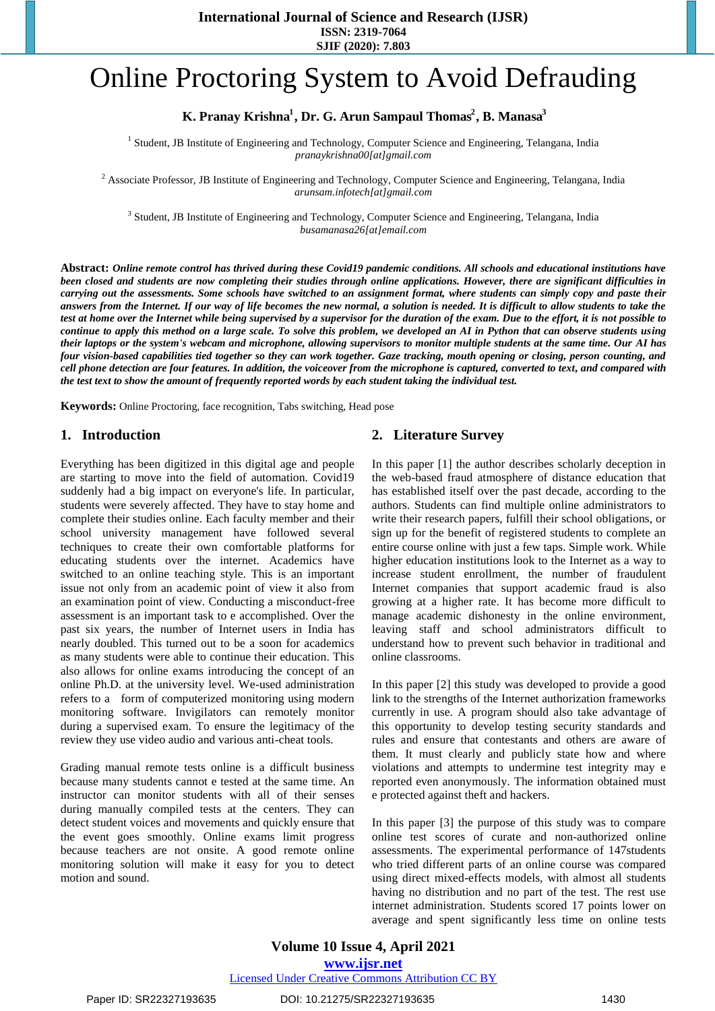**International Journal of Science and Research (IJSR) ISSN: 2319-7064 SJIF (2020): 7.803**

# Online Proctoring System to Avoid Defrauding

# **<sup>1</sup> <sup>2</sup> <sup>3</sup> K. Pranay Krishna , Dr. G. Arun Sampaul Thomas , B. Manasa**

<sup>1</sup> Student, JB Institute of Engineering and Technology, Computer Science and Engineering, Telangana, India *pranaykrishna00[at]gmail.com*

<sup>2</sup> Associate Professor, JB Institute of Engineering and Technology, Computer Science and Engineering, Telangana, India *arunsam.infotech[at]gmail.com*

<sup>3</sup> Student, JB Institute of Engineering and Technology, Computer Science and Engineering, Telangana, India *busamanasa26[at]email.com*

**Abstract:** *Online remote control has thrived during these Covid19 pandemic conditions. All schools and educational institutions have been closed and students are now completing their studies through online applications. However, there are significant difficulties in carrying out the assessments. Some schools have switched to an assignment format, where students can simply copy and paste their answers from the Internet. If our way of life becomes the new normal, a solution is needed. It is difficult to allow students to take the test at home over the Internet while being supervised by a supervisor for the duration of the exam. Due to the effort, it is not possible to continue to apply this method on a large scale. To solve this problem, we developed an AI in Python that can observe students using their laptops or the system's webcam and microphone, allowing supervisors to monitor multiple students at the same time. Our AI has four vision-based capabilities tied together so they can work together. Gaze tracking, mouth opening or closing, person counting, and cell phone detection are four features. In addition, the voiceover from the microphone is captured, converted to text, and compared with the test text to show the amount of frequently reported words by each student taking the individual test.*

**Keywords:** Online Proctoring, face recognition, Tabs switching, Head pose

#### **1. Introduction**

Everything has been digitized in this digital age and people are starting to move into the field of automation. Covid19 suddenly had a big impact on everyone's life. In particular, students were severely affected. They have to stay home and complete their studies online. Each faculty member and their school university management have followed several techniques to create their own comfortable platforms for educating students over the internet. Academics have switched to an online teaching style. This is an important issue not only from an academic point of view it also from an examination point of view. Conducting a misconduct-free assessment is an important task to e accomplished. Over the past six years, the number of Internet users in India has nearly doubled. This turned out to be a soon for academics as many students were able to continue their education. This also allows for online exams introducing the concept of an online Ph.D. at the university level. We-used administration refers to a form of computerized monitoring using modern monitoring software. Invigilators can remotely monitor during a supervised exam. To ensure the legitimacy of the review they use video audio and various anti-cheat tools.

Grading manual remote tests online is a difficult business because many students cannot e tested at the same time. An instructor can monitor students with all of their senses during manually compiled tests at the centers. They can detect student voices and movements and quickly ensure that the event goes smoothly. Online exams limit progress because teachers are not onsite. A good remote online monitoring solution will make it easy for you to detect motion and sound.

## **2. Literature Survey**

In this paper [1] the author describes scholarly deception in the web-based fraud atmosphere of distance education that has established itself over the past decade, according to the authors. Students can find multiple online administrators to write their research papers, fulfill their school obligations, or sign up for the benefit of registered students to complete an entire course online with just a few taps. Simple work. While higher education institutions look to the Internet as a way to increase student enrollment, the number of fraudulent Internet companies that support academic fraud is also growing at a higher rate. It has become more difficult to manage academic dishonesty in the online environment, leaving staff and school administrators difficult to understand how to prevent such behavior in traditional and online classrooms.

In this paper [2] this study was developed to provide a good link to the strengths of the Internet authorization frameworks currently in use. A program should also take advantage of this opportunity to develop testing security standards and rules and ensure that contestants and others are aware of them. It must clearly and publicly state how and where violations and attempts to undermine test integrity may e reported even anonymously. The information obtained must e protected against theft and hackers.

In this paper [3] the purpose of this study was to compare online test scores of curate and non-authorized online assessments. The experimental performance of 147students who tried different parts of an online course was compared using direct mixed-effects models, with almost all students having no distribution and no part of the test. The rest use internet administration. Students scored 17 points lower on average and spent significantly less time on online tests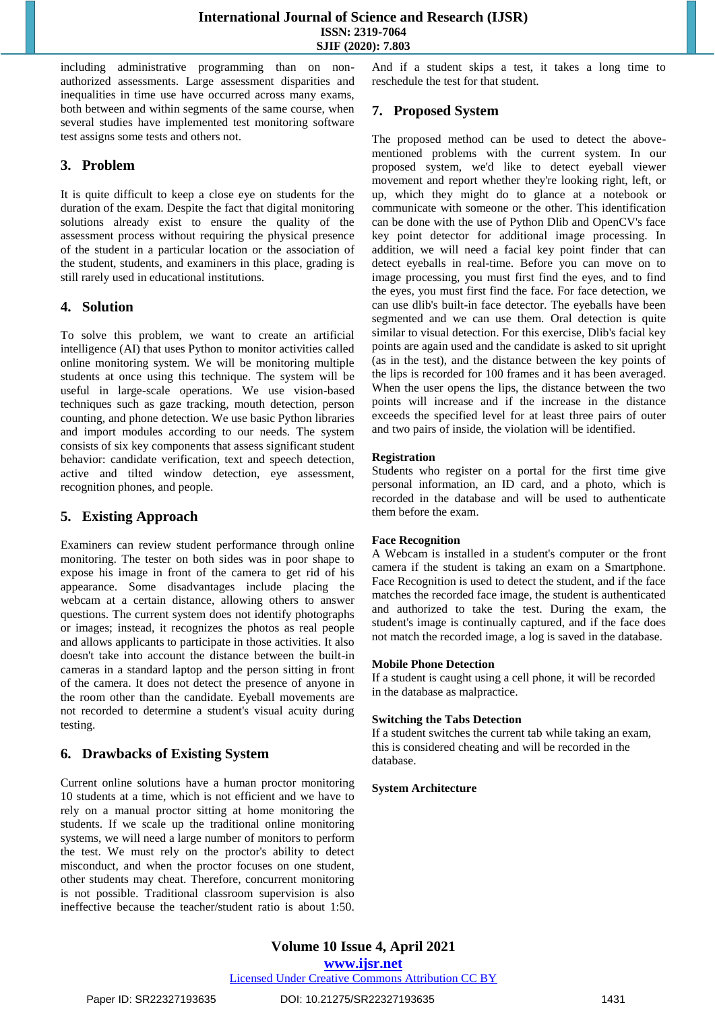including administrative programming than on nonauthorized assessments. Large assessment disparities and inequalities in time use have occurred across many exams, both between and within segments of the same course, when several studies have implemented test monitoring software test assigns some tests and others not.

## **3. Problem**

It is quite difficult to keep a close eye on students for the duration of the exam. Despite the fact that digital monitoring solutions already exist to ensure the quality of the assessment process without requiring the physical presence of the student in a particular location or the association of the student, students, and examiners in this place, grading is still rarely used in educational institutions.

## **4. Solution**

To solve this problem, we want to create an artificial intelligence (AI) that uses Python to monitor activities called online monitoring system. We will be monitoring multiple students at once using this technique. The system will be useful in large-scale operations. We use vision-based techniques such as gaze tracking, mouth detection, person counting, and phone detection. We use basic Python libraries and import modules according to our needs. The system consists of six key components that assess significant student behavior: candidate verification, text and speech detection, active and tilted window detection, eye assessment, recognition phones, and people.

## **5. Existing Approach**

Examiners can review student performance through online monitoring. The tester on both sides was in poor shape to expose his image in front of the camera to get rid of his appearance. Some disadvantages include placing the webcam at a certain distance, allowing others to answer questions. The current system does not identify photographs or images; instead, it recognizes the photos as real people and allows applicants to participate in those activities. It also doesn't take into account the distance between the built-in cameras in a standard laptop and the person sitting in front of the camera. It does not detect the presence of anyone in the room other than the candidate. Eyeball movements are not recorded to determine a student's visual acuity during testing.

## **6. Drawbacks of Existing System**

Current online solutions have a human proctor monitoring 10 students at a time, which is not efficient and we have to rely on a manual proctor sitting at home monitoring the students. If we scale up the traditional online monitoring systems, we will need a large number of monitors to perform the test. We must rely on the proctor's ability to detect misconduct, and when the proctor focuses on one student, other students may cheat. Therefore, concurrent monitoring is not possible. Traditional classroom supervision is also ineffective because the teacher/student ratio is about 1:50. And if a student skips a test, it takes a long time to reschedule the test for that student.

## **7. Proposed System**

The proposed method can be used to detect the abovementioned problems with the current system. In our proposed system, we'd like to detect eyeball viewer movement and report whether they're looking right, left, or up, which they might do to glance at a notebook or communicate with someone or the other. This identification can be done with the use of Python Dlib and OpenCV's face key point detector for additional image processing. In addition, we will need a facial key point finder that can detect eyeballs in real-time. Before you can move on to image processing, you must first find the eyes, and to find the eyes, you must first find the face. For face detection, we can use dlib's built-in face detector. The eyeballs have been segmented and we can use them. Oral detection is quite similar to visual detection. For this exercise, Dlib's facial key points are again used and the candidate is asked to sit upright (as in the test), and the distance between the key points of the lips is recorded for 100 frames and it has been averaged. When the user opens the lips, the distance between the two points will increase and if the increase in the distance exceeds the specified level for at least three pairs of outer and two pairs of inside, the violation will be identified.

#### **Registration**

Students who register on a portal for the first time give personal information, an ID card, and a photo, which is recorded in the database and will be used to authenticate them before the exam.

#### **Face Recognition**

A Webcam is installed in a student's computer or the front camera if the student is taking an exam on a Smartphone. Face Recognition is used to detect the student, and if the face matches the recorded face image, the student is authenticated and authorized to take the test. During the exam, the student's image is continually captured, and if the face does not match the recorded image, a log is saved in the database.

#### **Mobile Phone Detection**

If a student is caught using a cell phone, it will be recorded in the database as malpractice.

## **Switching the Tabs Detection**

If a student switches the current tab while taking an exam, this is considered cheating and will be recorded in the database.

#### **System Architecture**